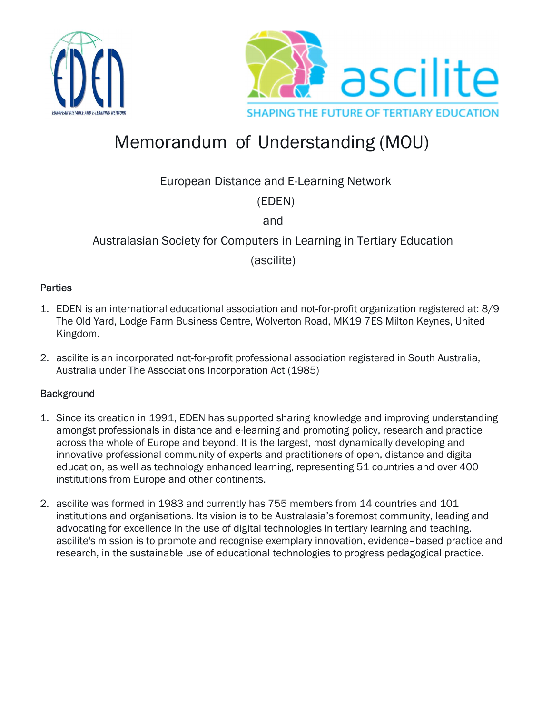



# Memorandum of Understanding (MOU)

European Distance and E-Learning Network

(EDEN)

and

## Australasian Society for Computers in Learning in Tertiary Education

(ascilite)

#### **Parties**

- 1. EDEN is an international educational association and not-for-profit organization registered at: 8/9 The Old Yard, Lodge Farm Business Centre, Wolverton Road, MK19 7ES Milton Keynes, United Kingdom.
- 2. ascilite is an incorporated not-for-profit professional association registered in South Australia, Australia under The Associations Incorporation Act (1985)

## **Background**

- 1. Since its creation in 1991, EDEN has supported sharing knowledge and improving understanding amongst professionals in distance and e-learning and promoting policy, research and practice across the whole of Europe and beyond. It is the largest, most dynamically developing and innovative professional community of experts and practitioners of open, distance and digital education, as well as technology enhanced learning, representing 51 countries and over 400 institutions from Europe and other continents.
- 2. ascilite was formed in 1983 and currently has 755 members from 14 countries and 101 institutions and organisations. Its vision is to be Australasia's foremost community, leading and advocating for excellence in the use of digital technologies in tertiary learning and teaching. ascilite's mission is to promote and recognise exemplary innovation, evidence–based practice and research, in the sustainable use of educational technologies to progress pedagogical practice.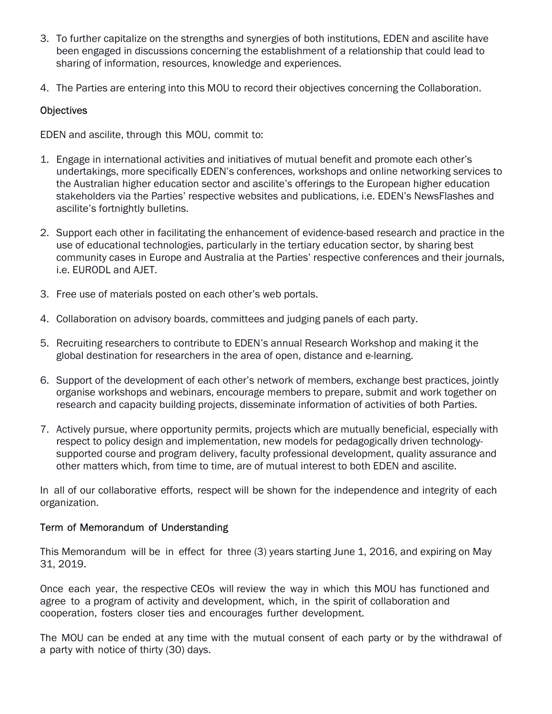- 3. To further capitalize on the strengths and synergies of both institutions, EDEN and ascilite have been engaged in discussions concerning the establishment of a relationship that could lead to sharing of information, resources, knowledge and experiences.
- 4. The Parties are entering into this MOU to record their objectives concerning the Collaboration.

## **Objectives**

EDEN and ascilite, through this MOU, commit to:

- 1. Engage in international activities and initiatives of mutual benefit and promote each other's undertakings, more specifically EDEN's conferences, workshops and online networking services to the Australian higher education sector and ascilite's offerings to the European higher education stakeholders via the Parties' respective websites and publications, i.e. EDEN's NewsFlashes and ascilite's fortnightly bulletins.
- 2. Support each other in facilitating the enhancement of evidence-based research and practice in the use of educational technologies, particularly in the tertiary education sector, by sharing best community cases in Europe and Australia at the Parties' respective conferences and their journals, i.e. EURODL and AJET.
- 3. Free use of materials posted on each other's web portals.
- 4. Collaboration on advisory boards, committees and judging panels of each party.
- 5. Recruiting researchers to contribute to EDEN's annual Research Workshop and making it the global destination for researchers in the area of open, distance and e-learning.
- 6. Support of the development of each other's network of members, exchange best practices, jointly organise workshops and webinars, encourage members to prepare, submit and work together on research and capacity building projects, disseminate information of activities of both Parties.
- 7. Actively pursue, where opportunity permits, projects which are mutually beneficial, especially with respect to policy design and implementation, new models for pedagogically driven technologysupported course and program delivery, faculty professional development, quality assurance and other matters which, from time to time, are of mutual interest to both EDEN and ascilite.

In all of our collaborative efforts, respect will be shown for the independence and integrity of each organization.

## Term of Memorandum of Understanding

This Memorandum will be in effect for three (3) years starting June 1, 2016, and expiring on May 31, 2019.

Once each year, the respective CEOs will review the way in which this MOU has functioned and agree to a program of activity and development, which, in the spirit of collaboration and cooperation, fosters closer ties and encourages further development.

The MOU can be ended at any time with the mutual consent of each party or by the withdrawal of a party with notice of thirty (30) days.